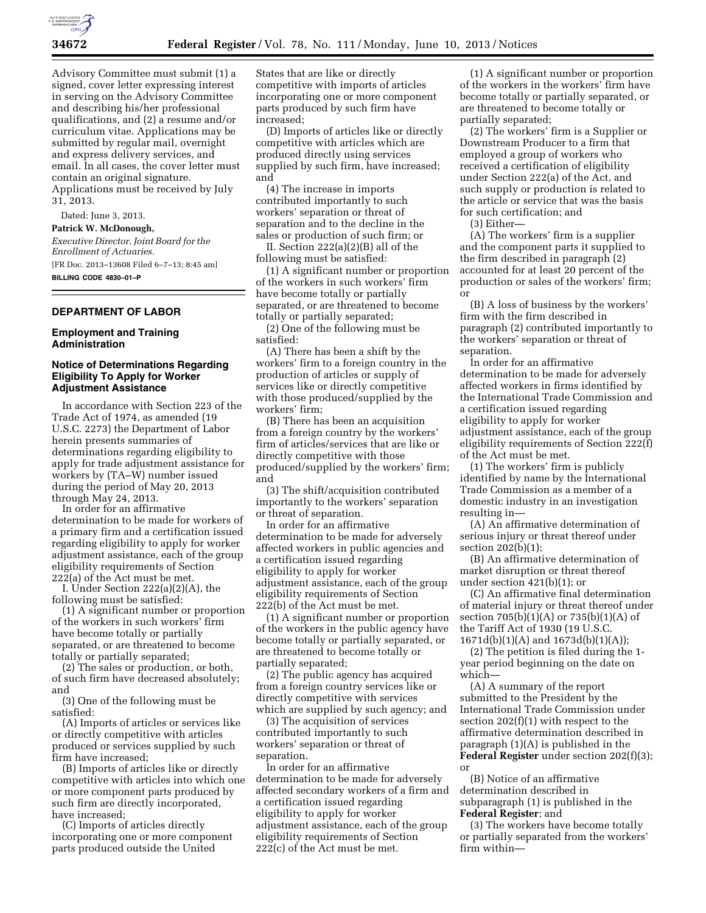

Advisory Committee must submit (1) a signed, cover letter expressing interest in serving on the Advisory Committee and describing his/her professional qualifications, and (2) a resume and/or curriculum vitae. Applications may be submitted by regular mail, overnight and express delivery services, and email. In all cases, the cover letter must contain an original signature. Applications must be received by July 31, 2013.

Dated: June 3, 2013.

#### **Patrick W. McDonough,**

*Executive Director, Joint Board for the Enrollment of Actuaries.*  [FR Doc. 2013–13608 Filed 6–7–13; 8:45 am] **BILLING CODE 4830–01–P** 

### **DEPARTMENT OF LABOR**

#### **Employment and Training Administration**

#### **Notice of Determinations Regarding Eligibility To Apply for Worker Adjustment Assistance**

In accordance with Section 223 of the Trade Act of 1974, as amended (19 U.S.C. 2273) the Department of Labor herein presents summaries of determinations regarding eligibility to apply for trade adjustment assistance for workers by (TA–W) number issued during the period of May 20, 2013 through May 24, 2013.

In order for an affirmative determination to be made for workers of a primary firm and a certification issued regarding eligibility to apply for worker adjustment assistance, each of the group eligibility requirements of Section 222(a) of the Act must be met.

I. Under Section 222(a)(2)(A), the following must be satisfied:

(1) A significant number or proportion of the workers in such workers' firm have become totally or partially separated, or are threatened to become totally or partially separated;

(2) The sales or production, or both, of such firm have decreased absolutely; and

(3) One of the following must be satisfied:

(A) Imports of articles or services like or directly competitive with articles produced or services supplied by such firm have increased;

(B) Imports of articles like or directly competitive with articles into which one or more component parts produced by such firm are directly incorporated, have increased;

(C) Imports of articles directly incorporating one or more component parts produced outside the United

States that are like or directly competitive with imports of articles incorporating one or more component parts produced by such firm have increased;

(D) Imports of articles like or directly competitive with articles which are produced directly using services supplied by such firm, have increased; and

(4) The increase in imports contributed importantly to such workers' separation or threat of separation and to the decline in the sales or production of such firm; or

II. Section 222(a)(2)(B) all of the following must be satisfied:

(1) A significant number or proportion of the workers in such workers' firm have become totally or partially separated, or are threatened to become totally or partially separated;

(2) One of the following must be satisfied:

(A) There has been a shift by the workers' firm to a foreign country in the production of articles or supply of services like or directly competitive with those produced/supplied by the workers' firm;

(B) There has been an acquisition from a foreign country by the workers' firm of articles/services that are like or directly competitive with those produced/supplied by the workers' firm; and

(3) The shift/acquisition contributed importantly to the workers' separation or threat of separation.

In order for an affirmative determination to be made for adversely affected workers in public agencies and a certification issued regarding eligibility to apply for worker adjustment assistance, each of the group eligibility requirements of Section 222(b) of the Act must be met.

(1) A significant number or proportion of the workers in the public agency have become totally or partially separated, or are threatened to become totally or partially separated;

(2) The public agency has acquired from a foreign country services like or directly competitive with services which are supplied by such agency; and

(3) The acquisition of services contributed importantly to such workers' separation or threat of separation.

In order for an affirmative determination to be made for adversely affected secondary workers of a firm and a certification issued regarding eligibility to apply for worker adjustment assistance, each of the group eligibility requirements of Section 222(c) of the Act must be met.

(1) A significant number or proportion of the workers in the workers' firm have become totally or partially separated, or are threatened to become totally or partially separated;

(2) The workers' firm is a Supplier or Downstream Producer to a firm that employed a group of workers who received a certification of eligibility under Section 222(a) of the Act, and such supply or production is related to the article or service that was the basis for such certification; and

(3) Either—

(A) The workers' firm is a supplier and the component parts it supplied to the firm described in paragraph (2) accounted for at least 20 percent of the production or sales of the workers' firm; or

(B) A loss of business by the workers' firm with the firm described in paragraph (2) contributed importantly to the workers' separation or threat of separation.

In order for an affirmative determination to be made for adversely affected workers in firms identified by the International Trade Commission and a certification issued regarding eligibility to apply for worker adjustment assistance, each of the group eligibility requirements of Section 222(f) of the Act must be met.

(1) The workers' firm is publicly identified by name by the International Trade Commission as a member of a domestic industry in an investigation resulting in—

(A) An affirmative determination of serious injury or threat thereof under section 202(b)(1);

(B) An affirmative determination of market disruption or threat thereof under section 421(b)(1); or

(C) An affirmative final determination of material injury or threat thereof under section 705(b)(1)(A) or 735(b)(1)(A) of the Tariff Act of 1930 (19 U.S.C. 1671d(b)(1)(A) and 1673d(b)(1)(A));

(2) The petition is filed during the 1 year period beginning on the date on which—

(A) A summary of the report submitted to the President by the International Trade Commission under section 202(f)(1) with respect to the affirmative determination described in paragraph (1)(A) is published in the **Federal Register** under section 202(f)(3); or

(B) Notice of an affirmative determination described in subparagraph (1) is published in the **Federal Register**; and

(3) The workers have become totally or partially separated from the workers' firm within—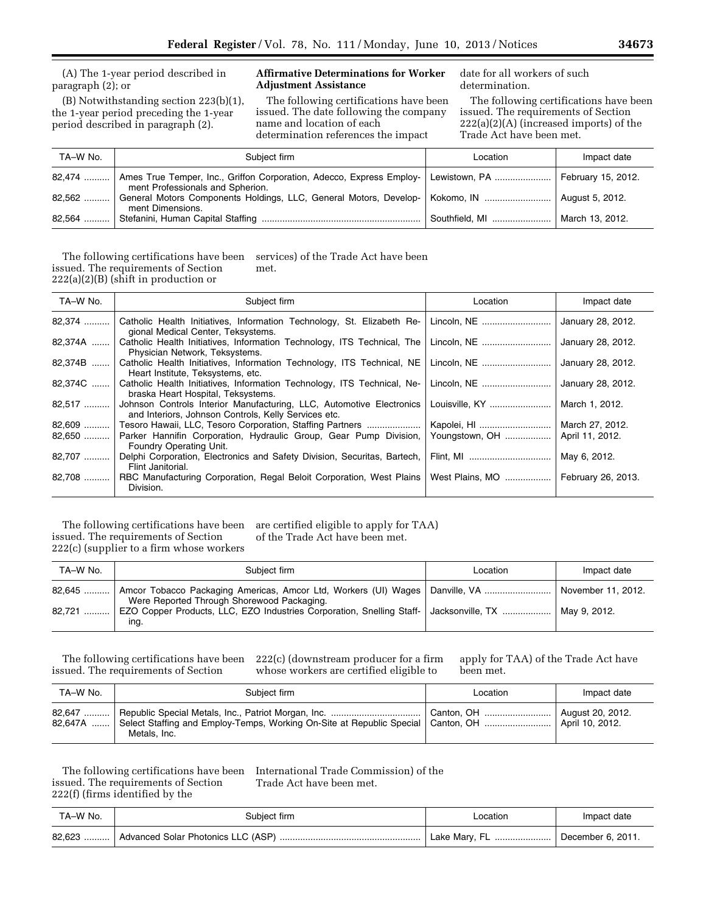(A) The 1-year period described in paragraph (2); or

(B) Notwithstanding section 223(b)(1), the 1-year period preceding the 1-year period described in paragraph (2).

## **Affirmative Determinations for Worker Adjustment Assistance**

The following certifications have been issued. The date following the company name and location of each determination references the impact

date for all workers of such determination.

The following certifications have been issued. The requirements of Section 222(a)(2)(A) (increased imports) of the Trade Act have been met.

| TA-W No. | Subject firm                                                                                                       | Location       | Impact date        |
|----------|--------------------------------------------------------------------------------------------------------------------|----------------|--------------------|
|          | 82,474    Ames True Temper, Inc., Griffon Corporation, Adecco, Express Employ-<br>ment Professionals and Spherion. | Lewistown, PA  | February 15, 2012. |
|          | 82,562    General Motors Components Holdings, LLC, General Motors, Develop-   Kokomo, IN<br>ment Dimensions.       |                | August 5, 2012.    |
|          |                                                                                                                    | Southfield, MI | March 13, 2012.    |

The following certifications have been services) of the Trade Act have been issued. The requirements of Section 222(a)(2)(B) (shift in production or met.

| TA-W No. | Subject firm                                                                                                                 | Location        | Impact date        |
|----------|------------------------------------------------------------------------------------------------------------------------------|-----------------|--------------------|
| 82,374   | Catholic Health Initiatives, Information Technology, St. Elizabeth Re-<br>gional Medical Center, Teksystems.                 |                 | January 28, 2012.  |
| 82,374A  | Catholic Health Initiatives, Information Technology, ITS Technical, The<br>Physician Network, Teksystems.                    | Lincoln. NE     | January 28, 2012.  |
| 82,374B  | Catholic Health Initiatives, Information Technology, ITS Technical, NE<br>Heart Institute, Teksystems, etc.                  | Lincoln, NE     | January 28, 2012.  |
| 82,374C  | Catholic Health Initiatives, Information Technology, ITS Technical, Ne-<br>braska Heart Hospital, Teksystems.                | Lincoln, NE     | January 28, 2012.  |
| 82,517   | Johnson Controls Interior Manufacturing, LLC, Automotive Electronics<br>and Interiors, Johnson Controls, Kelly Services etc. | Louisville, KY  | March 1, 2012.     |
| 82,609   | Tesoro Hawaii, LLC, Tesoro Corporation, Staffing Partners                                                                    | Kapolei, HI     | March 27, 2012.    |
| 82,650   | Parker Hannifin Corporation, Hydraulic Group, Gear Pump Division,<br>Foundry Operating Unit.                                 | Youngstown, OH  | April 11, 2012.    |
| 82,707   | Delphi Corporation, Electronics and Safety Division, Securitas, Bartech,<br>Flint Janitorial.                                | Flint, MI       | May 6, 2012.       |
| 82,708   | RBC Manufacturing Corporation, Regal Beloit Corporation, West Plains<br>Division.                                            | West Plains, MO | February 26, 2013. |

The following certifications have been issued. The requirements of Section 222(c) (supplier to a firm whose workers are certified eligible to apply for TAA) of the Trade Act have been met.

| TA-W No. | Subject firm                                                                                                     | Location | Impact date        |
|----------|------------------------------------------------------------------------------------------------------------------|----------|--------------------|
|          | Were Reported Through Shorewood Packaging.                                                                       |          | November 11, 2012. |
| 82.721   | EZO Copper Products, LLC, EZO Industries Corporation, Snelling Staff-   Jacksonville, TX    May 9, 2012.<br>ing. |          |                    |

The following certifications have been issued. The requirements of Section

222(c) (downstream producer for a firm whose workers are certified eligible to

apply for TAA) of the Trade Act have been met.

| TA-W No. | Subject firm                                                                                                                   | Location | Impact date |
|----------|--------------------------------------------------------------------------------------------------------------------------------|----------|-------------|
|          | 82,647A  Select Staffing and Employ-Temps, Working On-Site at Republic Special   Canton, OH    April 10, 2012.<br>Metals, Inc. |          |             |

issued. The requirements of Section 222(f) (firms identified by the

The following certifications have been International Trade Commission) of the Trade Act have been met.

| TA–W No. | Subject firm                       | _ocation | Impact date               |
|----------|------------------------------------|----------|---------------------------|
| 82,623   | Advanced Solar Photonics LLC (ASP) |          | $\perp$ December 6, 2011. |